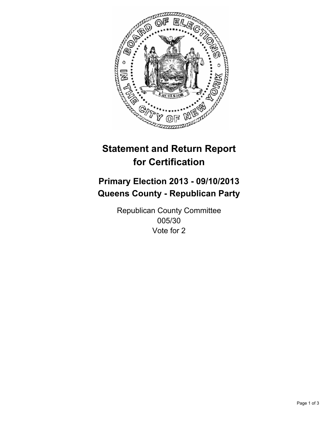

# **Statement and Return Report for Certification**

## **Primary Election 2013 - 09/10/2013 Queens County - Republican Party**

Republican County Committee 005/30 Vote for 2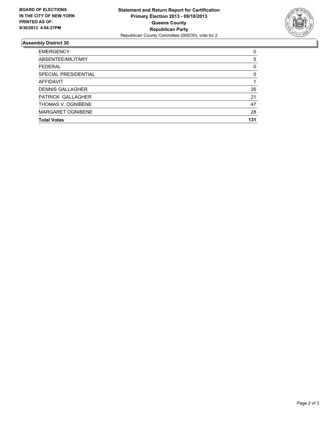

### **Assembly District 30**

| ABSENTEE/MILITARY       | 5        |
|-------------------------|----------|
| <b>FFDFRAL</b>          | 0        |
| SPECIAL PRESIDENTIAL    | $\Omega$ |
| AFFIDAVIT               |          |
| <b>DENNIS GALLAGHER</b> | 35       |
| PATRICK GALLAGHER       | 21       |
| THOMAS V. OGNIBENE      | 47       |
| MARGARET OGNIBENE       | 28       |
| <b>Total Votes</b>      | 131      |